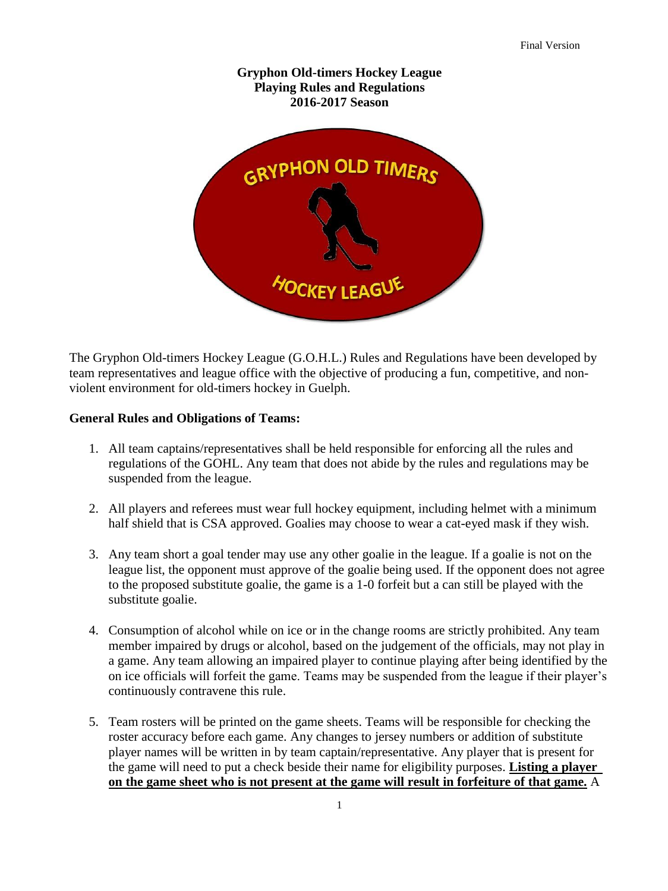

The Gryphon Old-timers Hockey League (G.O.H.L.) Rules and Regulations have been developed by team representatives and league office with the objective of producing a fun, competitive, and nonviolent environment for old-timers hockey in Guelph.

# **General Rules and Obligations of Teams:**

- 1. All team captains/representatives shall be held responsible for enforcing all the rules and regulations of the GOHL. Any team that does not abide by the rules and regulations may be suspended from the league.
- 2. All players and referees must wear full hockey equipment, including helmet with a minimum half shield that is CSA approved. Goalies may choose to wear a cat-eyed mask if they wish.
- 3. Any team short a goal tender may use any other goalie in the league. If a goalie is not on the league list, the opponent must approve of the goalie being used. If the opponent does not agree to the proposed substitute goalie, the game is a 1-0 forfeit but a can still be played with the substitute goalie.
- 4. Consumption of alcohol while on ice or in the change rooms are strictly prohibited. Any team member impaired by drugs or alcohol, based on the judgement of the officials, may not play in a game. Any team allowing an impaired player to continue playing after being identified by the on ice officials will forfeit the game. Teams may be suspended from the league if their player's continuously contravene this rule.
- 5. Team rosters will be printed on the game sheets. Teams will be responsible for checking the roster accuracy before each game. Any changes to jersey numbers or addition of substitute player names will be written in by team captain/representative. Any player that is present for the game will need to put a check beside their name for eligibility purposes. **Listing a player on the game sheet who is not present at the game will result in forfeiture of that game.** A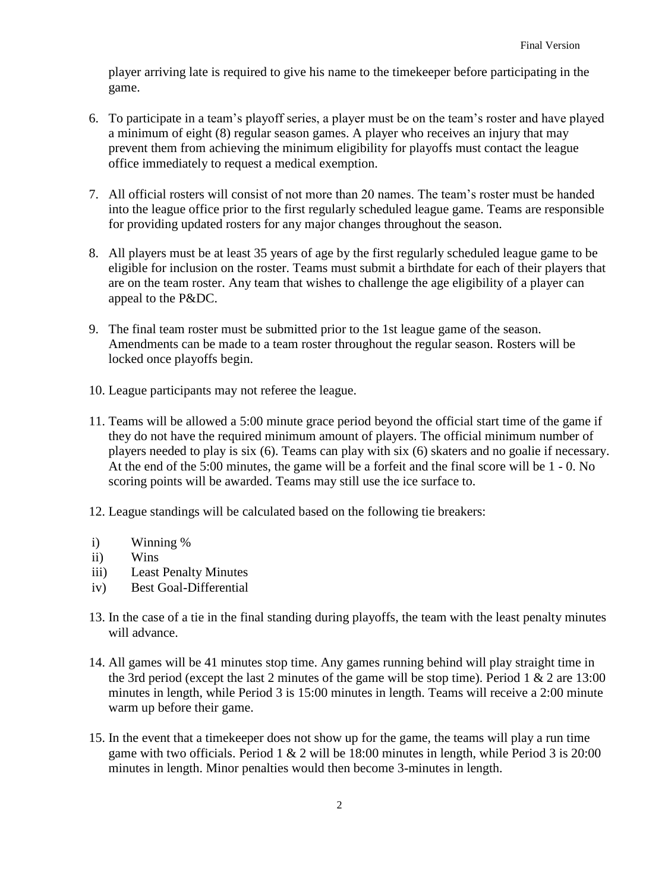player arriving late is required to give his name to the timekeeper before participating in the game.

- 6. To participate in a team's playoff series, a player must be on the team's roster and have played a minimum of eight (8) regular season games. A player who receives an injury that may prevent them from achieving the minimum eligibility for playoffs must contact the league office immediately to request a medical exemption.
- 7. All official rosters will consist of not more than 20 names. The team's roster must be handed into the league office prior to the first regularly scheduled league game. Teams are responsible for providing updated rosters for any major changes throughout the season.
- 8. All players must be at least 35 years of age by the first regularly scheduled league game to be eligible for inclusion on the roster. Teams must submit a birthdate for each of their players that are on the team roster. Any team that wishes to challenge the age eligibility of a player can appeal to the P&DC.
- 9. The final team roster must be submitted prior to the 1st league game of the season. Amendments can be made to a team roster throughout the regular season. Rosters will be locked once playoffs begin.
- 10. League participants may not referee the league.
- 11. Teams will be allowed a 5:00 minute grace period beyond the official start time of the game if they do not have the required minimum amount of players. The official minimum number of players needed to play is six (6). Teams can play with six (6) skaters and no goalie if necessary. At the end of the 5:00 minutes, the game will be a forfeit and the final score will be 1 - 0. No scoring points will be awarded. Teams may still use the ice surface to.
- 12. League standings will be calculated based on the following tie breakers:
- i) Winning %
- ii) Wins
- iii) Least Penalty Minutes
- iv) Best Goal-Differential
- 13. In the case of a tie in the final standing during playoffs, the team with the least penalty minutes will advance.
- 14. All games will be 41 minutes stop time. Any games running behind will play straight time in the 3rd period (except the last 2 minutes of the game will be stop time). Period  $1 \& 2$  are 13:00 minutes in length, while Period 3 is 15:00 minutes in length. Teams will receive a 2:00 minute warm up before their game.
- 15. In the event that a timekeeper does not show up for the game, the teams will play a run time game with two officials. Period  $1 \& 2$  will be 18:00 minutes in length, while Period  $3$  is 20:00 minutes in length. Minor penalties would then become 3-minutes in length.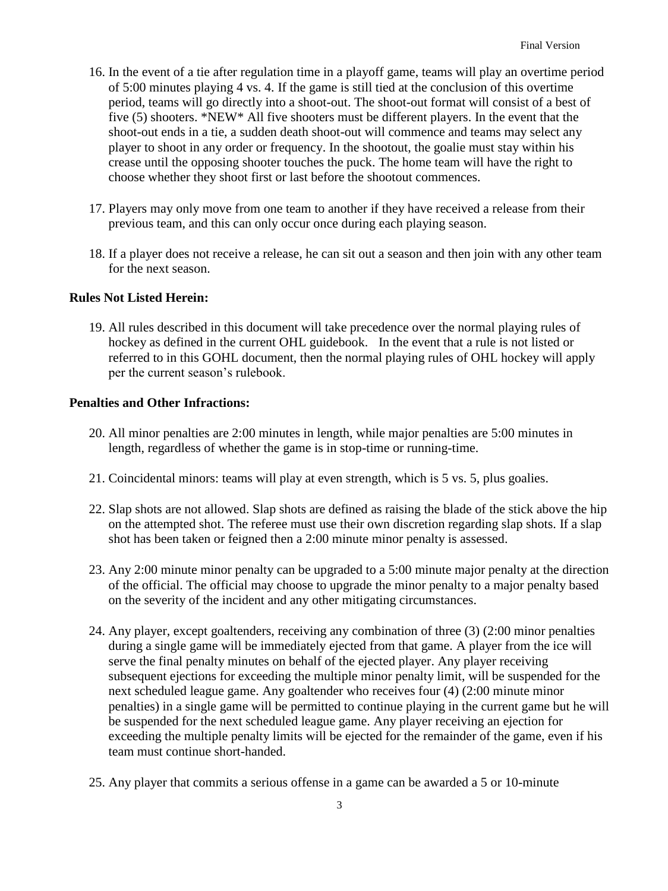- 16. In the event of a tie after regulation time in a playoff game, teams will play an overtime period of 5:00 minutes playing 4 vs. 4. If the game is still tied at the conclusion of this overtime period, teams will go directly into a shoot-out. The shoot-out format will consist of a best of five (5) shooters. \*NEW\* All five shooters must be different players. In the event that the shoot-out ends in a tie, a sudden death shoot-out will commence and teams may select any player to shoot in any order or frequency. In the shootout, the goalie must stay within his crease until the opposing shooter touches the puck. The home team will have the right to choose whether they shoot first or last before the shootout commences.
- 17. Players may only move from one team to another if they have received a release from their previous team, and this can only occur once during each playing season.
- 18. If a player does not receive a release, he can sit out a season and then join with any other team for the next season.

# **Rules Not Listed Herein:**

19. All rules described in this document will take precedence over the normal playing rules of hockey as defined in the current OHL guidebook. In the event that a rule is not listed or referred to in this GOHL document, then the normal playing rules of OHL hockey will apply per the current season's rulebook.

### **Penalties and Other Infractions:**

- 20. All minor penalties are 2:00 minutes in length, while major penalties are 5:00 minutes in length, regardless of whether the game is in stop-time or running-time.
- 21. Coincidental minors: teams will play at even strength, which is 5 vs. 5, plus goalies.
- 22. Slap shots are not allowed. Slap shots are defined as raising the blade of the stick above the hip on the attempted shot. The referee must use their own discretion regarding slap shots. If a slap shot has been taken or feigned then a 2:00 minute minor penalty is assessed.
- 23. Any 2:00 minute minor penalty can be upgraded to a 5:00 minute major penalty at the direction of the official. The official may choose to upgrade the minor penalty to a major penalty based on the severity of the incident and any other mitigating circumstances.
- 24. Any player, except goaltenders, receiving any combination of three (3) (2:00 minor penalties during a single game will be immediately ejected from that game. A player from the ice will serve the final penalty minutes on behalf of the ejected player. Any player receiving subsequent ejections for exceeding the multiple minor penalty limit, will be suspended for the next scheduled league game. Any goaltender who receives four (4) (2:00 minute minor penalties) in a single game will be permitted to continue playing in the current game but he will be suspended for the next scheduled league game. Any player receiving an ejection for exceeding the multiple penalty limits will be ejected for the remainder of the game, even if his team must continue short-handed.
- 25. Any player that commits a serious offense in a game can be awarded a 5 or 10-minute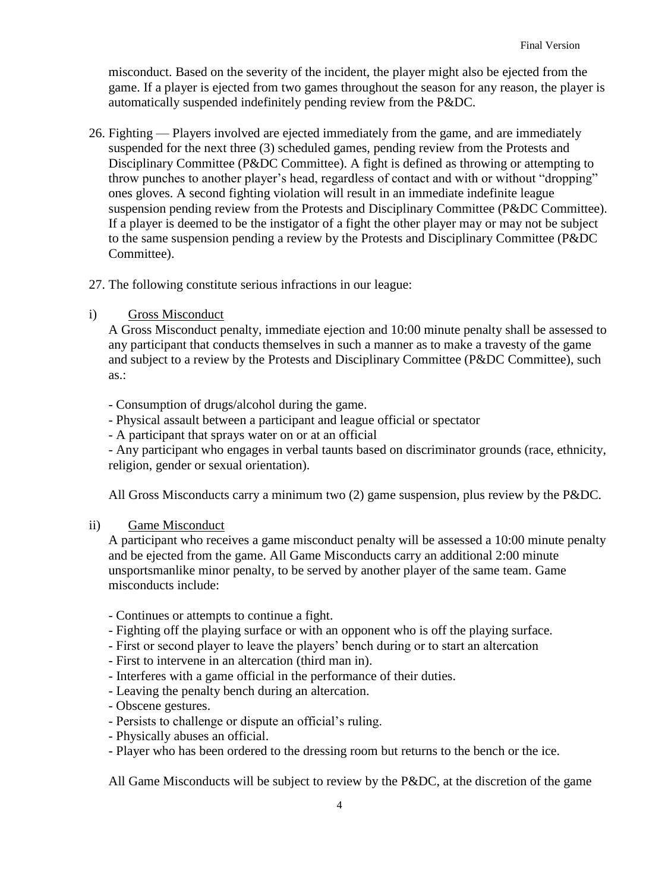misconduct. Based on the severity of the incident, the player might also be ejected from the game. If a player is ejected from two games throughout the season for any reason, the player is automatically suspended indefinitely pending review from the P&DC.

- 26. Fighting Players involved are ejected immediately from the game, and are immediately suspended for the next three (3) scheduled games, pending review from the Protests and Disciplinary Committee (P&DC Committee). A fight is defined as throwing or attempting to throw punches to another player's head, regardless of contact and with or without "dropping" ones gloves. A second fighting violation will result in an immediate indefinite league suspension pending review from the Protests and Disciplinary Committee (P&DC Committee). If a player is deemed to be the instigator of a fight the other player may or may not be subject to the same suspension pending a review by the Protests and Disciplinary Committee (P&DC Committee).
- 27. The following constitute serious infractions in our league:
- i) Gross Misconduct

A Gross Misconduct penalty, immediate ejection and 10:00 minute penalty shall be assessed to any participant that conducts themselves in such a manner as to make a travesty of the game and subject to a review by the Protests and Disciplinary Committee (P&DC Committee), such as.:

- Consumption of drugs/alcohol during the game.
- Physical assault between a participant and league official or spectator
- A participant that sprays water on or at an official

- Any participant who engages in verbal taunts based on discriminator grounds (race, ethnicity, religion, gender or sexual orientation).

All Gross Misconducts carry a minimum two (2) game suspension, plus review by the P&DC.

# ii) Game Misconduct

A participant who receives a game misconduct penalty will be assessed a 10:00 minute penalty and be ejected from the game. All Game Misconducts carry an additional 2:00 minute unsportsmanlike minor penalty, to be served by another player of the same team. Game misconducts include:

- Continues or attempts to continue a fight.
- Fighting off the playing surface or with an opponent who is off the playing surface.
- First or second player to leave the players' bench during or to start an altercation
- First to intervene in an altercation (third man in).
- Interferes with a game official in the performance of their duties.
- Leaving the penalty bench during an altercation.
- Obscene gestures.
- Persists to challenge or dispute an official's ruling.
- Physically abuses an official.
- Player who has been ordered to the dressing room but returns to the bench or the ice.

All Game Misconducts will be subject to review by the P&DC, at the discretion of the game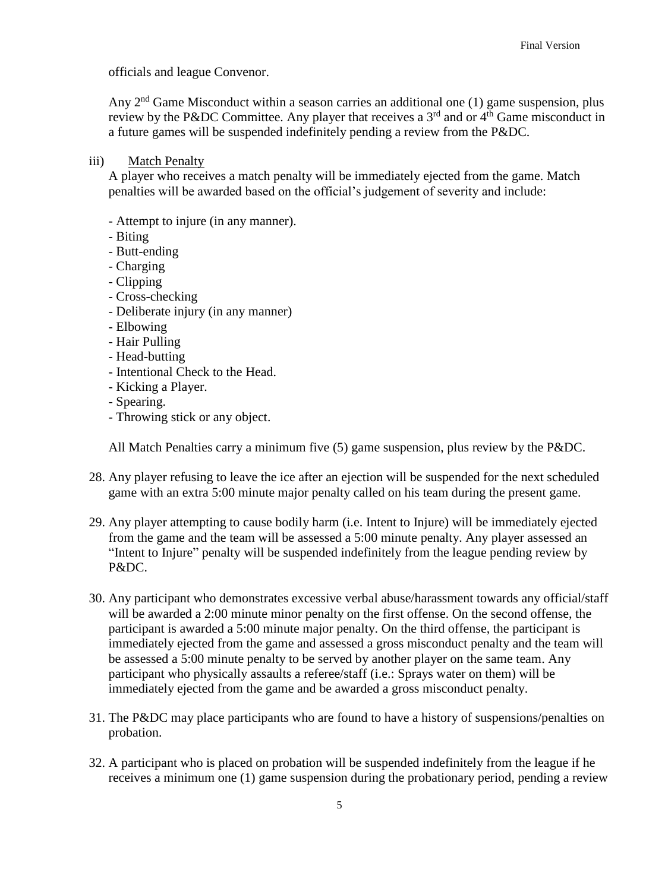officials and league Convenor.

Any  $2<sup>nd</sup>$  Game Misconduct within a season carries an additional one (1) game suspension, plus review by the P&DC Committee. Any player that receives a  $3<sup>rd</sup>$  and or  $4<sup>th</sup>$  Game misconduct in a future games will be suspended indefinitely pending a review from the P&DC.

iii) Match Penalty

A player who receives a match penalty will be immediately ejected from the game. Match penalties will be awarded based on the official's judgement of severity and include:

- Attempt to injure (in any manner).
- Biting
- Butt-ending
- Charging
- Clipping
- Cross-checking
- Deliberate injury (in any manner)
- Elbowing
- Hair Pulling
- Head-butting
- Intentional Check to the Head.
- Kicking a Player.
- Spearing.
- Throwing stick or any object.

All Match Penalties carry a minimum five (5) game suspension, plus review by the P&DC.

- 28. Any player refusing to leave the ice after an ejection will be suspended for the next scheduled game with an extra 5:00 minute major penalty called on his team during the present game.
- 29. Any player attempting to cause bodily harm (i.e. Intent to Injure) will be immediately ejected from the game and the team will be assessed a 5:00 minute penalty. Any player assessed an "Intent to Injure" penalty will be suspended indefinitely from the league pending review by P&DC.
- 30. Any participant who demonstrates excessive verbal abuse/harassment towards any official/staff will be awarded a 2:00 minute minor penalty on the first offense. On the second offense, the participant is awarded a 5:00 minute major penalty. On the third offense, the participant is immediately ejected from the game and assessed a gross misconduct penalty and the team will be assessed a 5:00 minute penalty to be served by another player on the same team. Any participant who physically assaults a referee/staff (i.e.: Sprays water on them) will be immediately ejected from the game and be awarded a gross misconduct penalty.
- 31. The P&DC may place participants who are found to have a history of suspensions/penalties on probation.
- 32. A participant who is placed on probation will be suspended indefinitely from the league if he receives a minimum one (1) game suspension during the probationary period, pending a review